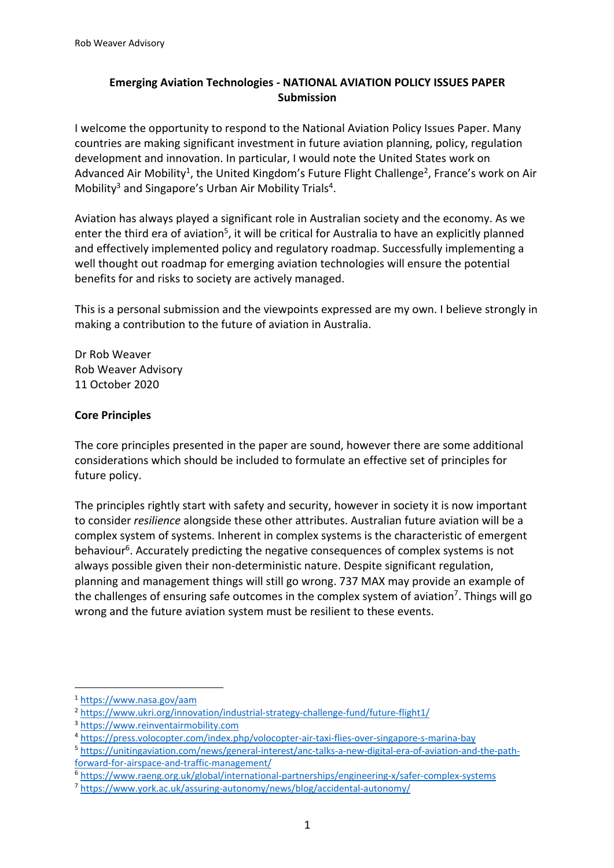# **Emerging Aviation Technologies - NATIONAL AVIATION POLICY ISSUES PAPER Submission**

I welcome the opportunity to respond to the National Aviation Policy Issues Paper. Many countries are making significant investment in future aviation planning, policy, regulation development and innovation. In particular, I would note the United States work on Advanced Air Mobility<sup>1</sup>, the United Kingdom's Future Flight Challenge<sup>2</sup>, France's work on Air Mobility<sup>3</sup> and Singapore's Urban Air Mobility Trials<sup>4</sup>.

Aviation has always played a significant role in Australian society and the economy. As we enter the third era of aviation<sup>5</sup>, it will be critical for Australia to have an explicitly planned and effectively implemented policy and regulatory roadmap. Successfully implementing a well thought out roadmap for emerging aviation technologies will ensure the potential benefits for and risks to society are actively managed.

This is a personal submission and the viewpoints expressed are my own. I believe strongly in making a contribution to the future of aviation in Australia.

Dr Rob Weaver Rob Weaver Advisory 11 October 2020

# **Core Principles**

The core principles presented in the paper are sound, however there are some additional considerations which should be included to formulate an effective set of principles for future policy.

The principles rightly start with safety and security, however in society it is now important to consider *resilience* alongside these other attributes. Australian future aviation will be a complex system of systems. Inherent in complex systems is the characteristic of emergent behaviour<sup>6</sup>. Accurately predicting the negative consequences of complex systems is not always possible given their non-deterministic nature. Despite significant regulation, planning and management things will still go wrong. 737 MAX may provide an example of the challenges of ensuring safe outcomes in the complex system of aviation<sup>7</sup>. Things will go wrong and the future aviation system must be resilient to these events.

<sup>1</sup> https://www.nasa.gov/aam

<sup>2</sup> https://www.ukri.org/innovation/industrial-strategy-challenge-fund/future-flight1/

<sup>3</sup> https://www.reinventairmobility.com

<sup>4</sup> https://press.volocopter.com/index.php/volocopter-air-taxi-flies-over-singapore-s-marina-bay

<sup>5</sup> https://unitingaviation.com/news/general-interest/anc-talks-a-new-digital-era-of-aviation-and-the-pathforward-for-airspace-and-traffic-management/

<sup>6</sup> https://www.raeng.org.uk/global/international-partnerships/engineering-x/safer-complex-systems

<sup>7</sup> https://www.york.ac.uk/assuring-autonomy/news/blog/accidental-autonomy/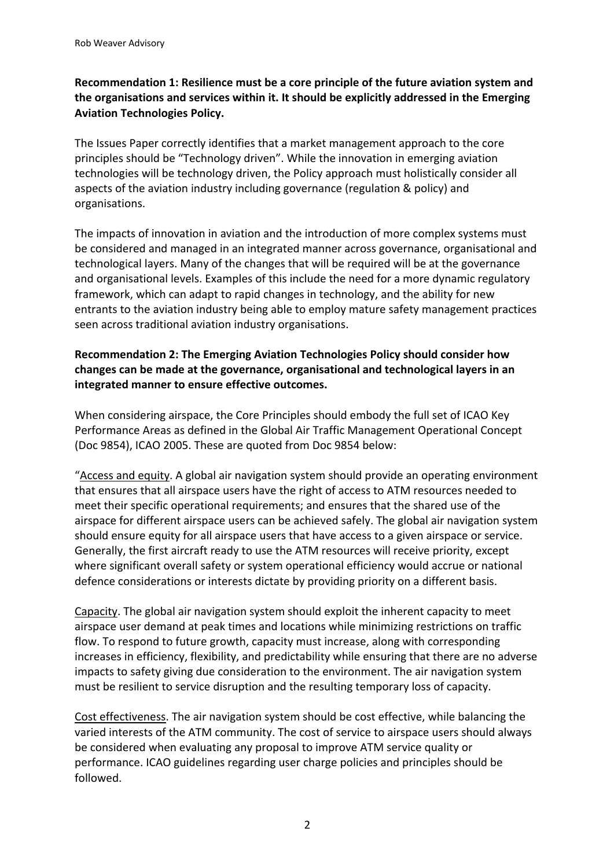# **Recommendation 1: Resilience must be a core principle of the future aviation system and the organisations and services within it. It should be explicitly addressed in the Emerging Aviation Technologies Policy.**

The Issues Paper correctly identifies that a market management approach to the core principles should be "Technology driven". While the innovation in emerging aviation technologies will be technology driven, the Policy approach must holistically consider all aspects of the aviation industry including governance (regulation & policy) and organisations.

The impacts of innovation in aviation and the introduction of more complex systems must be considered and managed in an integrated manner across governance, organisational and technological layers. Many of the changes that will be required will be at the governance and organisational levels. Examples of this include the need for a more dynamic regulatory framework, which can adapt to rapid changes in technology, and the ability for new entrants to the aviation industry being able to employ mature safety management practices seen across traditional aviation industry organisations.

### **Recommendation 2: The Emerging Aviation Technologies Policy should consider how changes can be made at the governance, organisational and technological layers in an integrated manner to ensure effective outcomes.**

When considering airspace, the Core Principles should embody the full set of ICAO Key Performance Areas as defined in the Global Air Traffic Management Operational Concept (Doc 9854), ICAO 2005. These are quoted from Doc 9854 below:

"Access and equity. A global air navigation system should provide an operating environment that ensures that all airspace users have the right of access to ATM resources needed to meet their specific operational requirements; and ensures that the shared use of the airspace for different airspace users can be achieved safely. The global air navigation system should ensure equity for all airspace users that have access to a given airspace or service. Generally, the first aircraft ready to use the ATM resources will receive priority, except where significant overall safety or system operational efficiency would accrue or national defence considerations or interests dictate by providing priority on a different basis.

Capacity. The global air navigation system should exploit the inherent capacity to meet airspace user demand at peak times and locations while minimizing restrictions on traffic flow. To respond to future growth, capacity must increase, along with corresponding increases in efficiency, flexibility, and predictability while ensuring that there are no adverse impacts to safety giving due consideration to the environment. The air navigation system must be resilient to service disruption and the resulting temporary loss of capacity.

Cost effectiveness. The air navigation system should be cost effective, while balancing the varied interests of the ATM community. The cost of service to airspace users should always be considered when evaluating any proposal to improve ATM service quality or performance. ICAO guidelines regarding user charge policies and principles should be followed.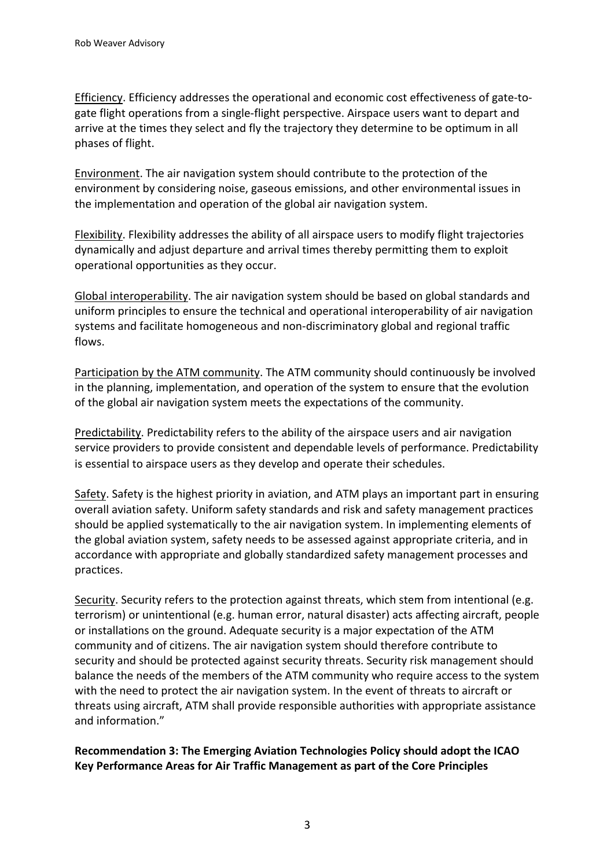Efficiency. Efficiency addresses the operational and economic cost effectiveness of gate-togate flight operations from a single-flight perspective. Airspace users want to depart and arrive at the times they select and fly the trajectory they determine to be optimum in all phases of flight.

Environment. The air navigation system should contribute to the protection of the environment by considering noise, gaseous emissions, and other environmental issues in the implementation and operation of the global air navigation system.

Flexibility. Flexibility addresses the ability of all airspace users to modify flight trajectories dynamically and adjust departure and arrival times thereby permitting them to exploit operational opportunities as they occur.

Global interoperability. The air navigation system should be based on global standards and uniform principles to ensure the technical and operational interoperability of air navigation systems and facilitate homogeneous and non-discriminatory global and regional traffic flows.

Participation by the ATM community. The ATM community should continuously be involved in the planning, implementation, and operation of the system to ensure that the evolution of the global air navigation system meets the expectations of the community.

Predictability. Predictability refers to the ability of the airspace users and air navigation service providers to provide consistent and dependable levels of performance. Predictability is essential to airspace users as they develop and operate their schedules.

Safety. Safety is the highest priority in aviation, and ATM plays an important part in ensuring overall aviation safety. Uniform safety standards and risk and safety management practices should be applied systematically to the air navigation system. In implementing elements of the global aviation system, safety needs to be assessed against appropriate criteria, and in accordance with appropriate and globally standardized safety management processes and practices.

Security. Security refers to the protection against threats, which stem from intentional (e.g. terrorism) or unintentional (e.g. human error, natural disaster) acts affecting aircraft, people or installations on the ground. Adequate security is a major expectation of the ATM community and of citizens. The air navigation system should therefore contribute to security and should be protected against security threats. Security risk management should balance the needs of the members of the ATM community who require access to the system with the need to protect the air navigation system. In the event of threats to aircraft or threats using aircraft, ATM shall provide responsible authorities with appropriate assistance and information."

**Recommendation 3: The Emerging Aviation Technologies Policy should adopt the ICAO Key Performance Areas for Air Traffic Management as part of the Core Principles**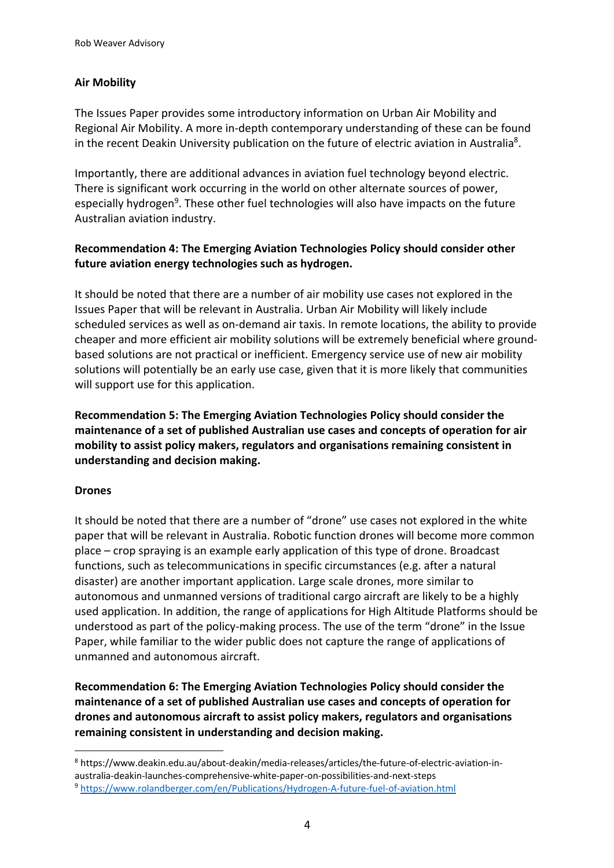# **Air Mobility**

The Issues Paper provides some introductory information on Urban Air Mobility and Regional Air Mobility. A more in-depth contemporary understanding of these can be found in the recent Deakin University publication on the future of electric aviation in Australia<sup>8</sup>.

Importantly, there are additional advances in aviation fuel technology beyond electric. There is significant work occurring in the world on other alternate sources of power, especially hydrogen<sup>9</sup>. These other fuel technologies will also have impacts on the future Australian aviation industry.

# **Recommendation 4: The Emerging Aviation Technologies Policy should consider other future aviation energy technologies such as hydrogen.**

It should be noted that there are a number of air mobility use cases not explored in the Issues Paper that will be relevant in Australia. Urban Air Mobility will likely include scheduled services as well as on-demand air taxis. In remote locations, the ability to provide cheaper and more efficient air mobility solutions will be extremely beneficial where groundbased solutions are not practical or inefficient. Emergency service use of new air mobility solutions will potentially be an early use case, given that it is more likely that communities will support use for this application.

**Recommendation 5: The Emerging Aviation Technologies Policy should consider the maintenance of a set of published Australian use cases and concepts of operation for air mobility to assist policy makers, regulators and organisations remaining consistent in understanding and decision making.**

### **Drones**

It should be noted that there are a number of "drone" use cases not explored in the white paper that will be relevant in Australia. Robotic function drones will become more common place – crop spraying is an example early application of this type of drone. Broadcast functions, such as telecommunications in specific circumstances (e.g. after a natural disaster) are another important application. Large scale drones, more similar to autonomous and unmanned versions of traditional cargo aircraft are likely to be a highly used application. In addition, the range of applications for High Altitude Platforms should be understood as part of the policy-making process. The use of the term "drone" in the Issue Paper, while familiar to the wider public does not capture the range of applications of unmanned and autonomous aircraft.

**Recommendation 6: The Emerging Aviation Technologies Policy should consider the maintenance of a set of published Australian use cases and concepts of operation for drones and autonomous aircraft to assist policy makers, regulators and organisations remaining consistent in understanding and decision making.**

<sup>8</sup> https://www.deakin.edu.au/about-deakin/media-releases/articles/the-future-of-electric-aviation-inaustralia-deakin-launches-comprehensive-white-paper-on-possibilities-and-next-steps

<sup>9</sup> https://www.rolandberger.com/en/Publications/Hydrogen-A-future-fuel-of-aviation.html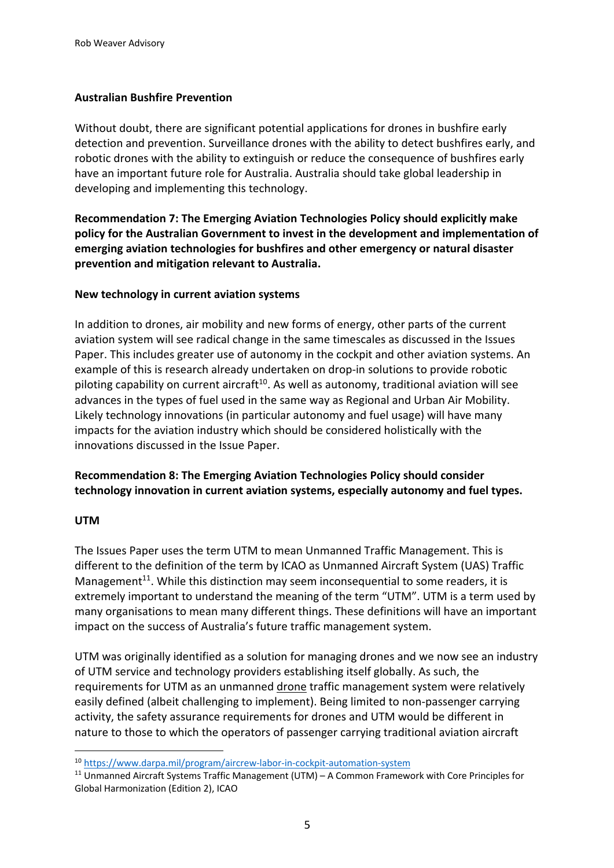### **Australian Bushfire Prevention**

Without doubt, there are significant potential applications for drones in bushfire early detection and prevention. Surveillance drones with the ability to detect bushfires early, and robotic drones with the ability to extinguish or reduce the consequence of bushfires early have an important future role for Australia. Australia should take global leadership in developing and implementing this technology.

**Recommendation 7: The Emerging Aviation Technologies Policy should explicitly make policy for the Australian Government to invest in the development and implementation of emerging aviation technologies for bushfires and other emergency or natural disaster prevention and mitigation relevant to Australia.**

### **New technology in current aviation systems**

In addition to drones, air mobility and new forms of energy, other parts of the current aviation system will see radical change in the same timescales as discussed in the Issues Paper. This includes greater use of autonomy in the cockpit and other aviation systems. An example of this is research already undertaken on drop-in solutions to provide robotic piloting capability on current aircraft<sup>10</sup>. As well as autonomy, traditional aviation will see advances in the types of fuel used in the same way as Regional and Urban Air Mobility. Likely technology innovations (in particular autonomy and fuel usage) will have many impacts for the aviation industry which should be considered holistically with the innovations discussed in the Issue Paper.

# **Recommendation 8: The Emerging Aviation Technologies Policy should consider technology innovation in current aviation systems, especially autonomy and fuel types.**

#### **UTM**

The Issues Paper uses the term UTM to mean Unmanned Traffic Management. This is different to the definition of the term by ICAO as Unmanned Aircraft System (UAS) Traffic Management $^{11}$ . While this distinction may seem inconsequential to some readers, it is extremely important to understand the meaning of the term "UTM". UTM is a term used by many organisations to mean many different things. These definitions will have an important impact on the success of Australia's future traffic management system.

UTM was originally identified as a solution for managing drones and we now see an industry of UTM service and technology providers establishing itself globally. As such, the requirements for UTM as an unmanned drone traffic management system were relatively easily defined (albeit challenging to implement). Being limited to non-passenger carrying activity, the safety assurance requirements for drones and UTM would be different in nature to those to which the operators of passenger carrying traditional aviation aircraft

<sup>10</sup> https://www.darpa.mil/program/aircrew-labor-in-cockpit-automation-system

 $11$  Unmanned Aircraft Systems Traffic Management (UTM) – A Common Framework with Core Principles for Global Harmonization (Edition 2), ICAO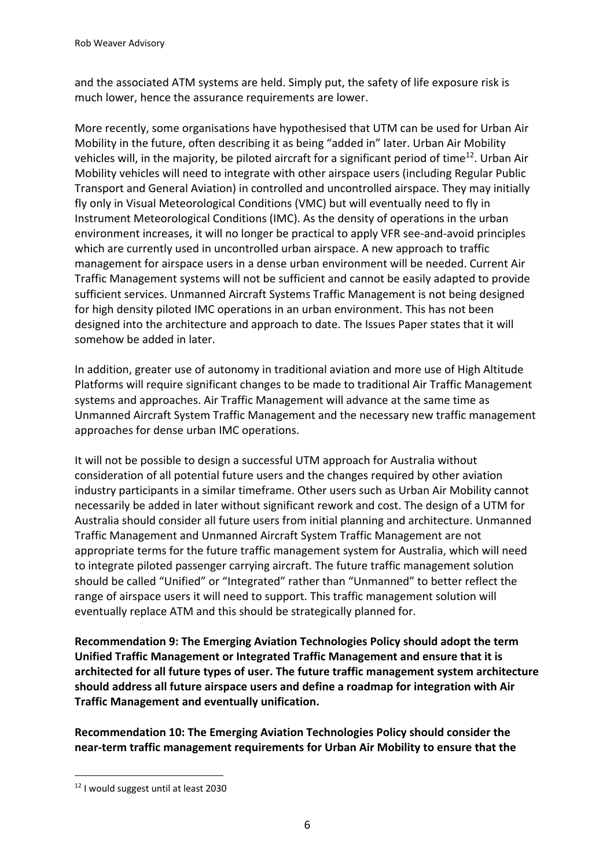and the associated ATM systems are held. Simply put, the safety of life exposure risk is much lower, hence the assurance requirements are lower.

More recently, some organisations have hypothesised that UTM can be used for Urban Air Mobility in the future, often describing it as being "added in" later. Urban Air Mobility vehicles will, in the majority, be piloted aircraft for a significant period of time<sup>12</sup>. Urban Air Mobility vehicles will need to integrate with other airspace users (including Regular Public Transport and General Aviation) in controlled and uncontrolled airspace. They may initially fly only in Visual Meteorological Conditions (VMC) but will eventually need to fly in Instrument Meteorological Conditions (IMC). As the density of operations in the urban environment increases, it will no longer be practical to apply VFR see-and-avoid principles which are currently used in uncontrolled urban airspace. A new approach to traffic management for airspace users in a dense urban environment will be needed. Current Air Traffic Management systems will not be sufficient and cannot be easily adapted to provide sufficient services. Unmanned Aircraft Systems Traffic Management is not being designed for high density piloted IMC operations in an urban environment. This has not been designed into the architecture and approach to date. The Issues Paper states that it will somehow be added in later.

In addition, greater use of autonomy in traditional aviation and more use of High Altitude Platforms will require significant changes to be made to traditional Air Traffic Management systems and approaches. Air Traffic Management will advance at the same time as Unmanned Aircraft System Traffic Management and the necessary new traffic management approaches for dense urban IMC operations.

It will not be possible to design a successful UTM approach for Australia without consideration of all potential future users and the changes required by other aviation industry participants in a similar timeframe. Other users such as Urban Air Mobility cannot necessarily be added in later without significant rework and cost. The design of a UTM for Australia should consider all future users from initial planning and architecture. Unmanned Traffic Management and Unmanned Aircraft System Traffic Management are not appropriate terms for the future traffic management system for Australia, which will need to integrate piloted passenger carrying aircraft. The future traffic management solution should be called "Unified" or "Integrated" rather than "Unmanned" to better reflect the range of airspace users it will need to support. This traffic management solution will eventually replace ATM and this should be strategically planned for.

**Recommendation 9: The Emerging Aviation Technologies Policy should adopt the term Unified Traffic Management or Integrated Traffic Management and ensure that it is architected for all future types of user. The future traffic management system architecture should address all future airspace users and define a roadmap for integration with Air Traffic Management and eventually unification.**

**Recommendation 10: The Emerging Aviation Technologies Policy should consider the near-term traffic management requirements for Urban Air Mobility to ensure that the** 

<sup>12</sup> I would suggest until at least 2030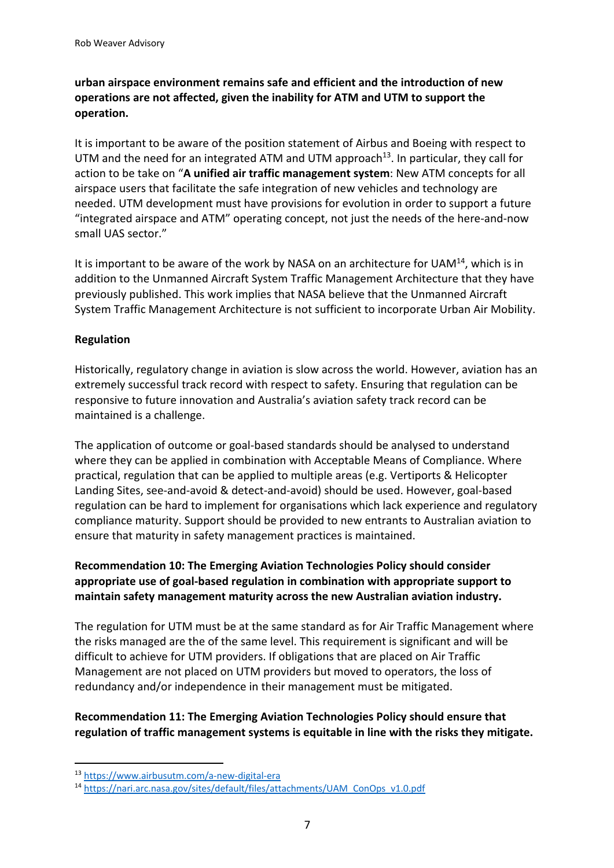# **urban airspace environment remains safe and efficient and the introduction of new operations are not affected, given the inability for ATM and UTM to support the operation.**

It is important to be aware of the position statement of Airbus and Boeing with respect to UTM and the need for an integrated ATM and UTM approach<sup>13</sup>. In particular, they call for action to be take on "**A unified air traffic management system**: New ATM concepts for all airspace users that facilitate the safe integration of new vehicles and technology are needed. UTM development must have provisions for evolution in order to support a future "integrated airspace and ATM" operating concept, not just the needs of the here-and-now small UAS sector."

It is important to be aware of the work by NASA on an architecture for  $UAM<sup>14</sup>$ , which is in addition to the Unmanned Aircraft System Traffic Management Architecture that they have previously published. This work implies that NASA believe that the Unmanned Aircraft System Traffic Management Architecture is not sufficient to incorporate Urban Air Mobility.

### **Regulation**

Historically, regulatory change in aviation is slow across the world. However, aviation has an extremely successful track record with respect to safety. Ensuring that regulation can be responsive to future innovation and Australia's aviation safety track record can be maintained is a challenge.

The application of outcome or goal-based standards should be analysed to understand where they can be applied in combination with Acceptable Means of Compliance. Where practical, regulation that can be applied to multiple areas (e.g. Vertiports & Helicopter Landing Sites, see-and-avoid & detect-and-avoid) should be used. However, goal-based regulation can be hard to implement for organisations which lack experience and regulatory compliance maturity. Support should be provided to new entrants to Australian aviation to ensure that maturity in safety management practices is maintained.

## **Recommendation 10: The Emerging Aviation Technologies Policy should consider appropriate use of goal-based regulation in combination with appropriate support to maintain safety management maturity across the new Australian aviation industry.**

The regulation for UTM must be at the same standard as for Air Traffic Management where the risks managed are the of the same level. This requirement is significant and will be difficult to achieve for UTM providers. If obligations that are placed on Air Traffic Management are not placed on UTM providers but moved to operators, the loss of redundancy and/or independence in their management must be mitigated.

# **Recommendation 11: The Emerging Aviation Technologies Policy should ensure that regulation of traffic management systems is equitable in line with the risks they mitigate.**

<sup>13</sup> https://www.airbusutm.com/a-new-digital-era

<sup>14</sup> https://nari.arc.nasa.gov/sites/default/files/attachments/UAM\_ConOps\_v1.0.pdf